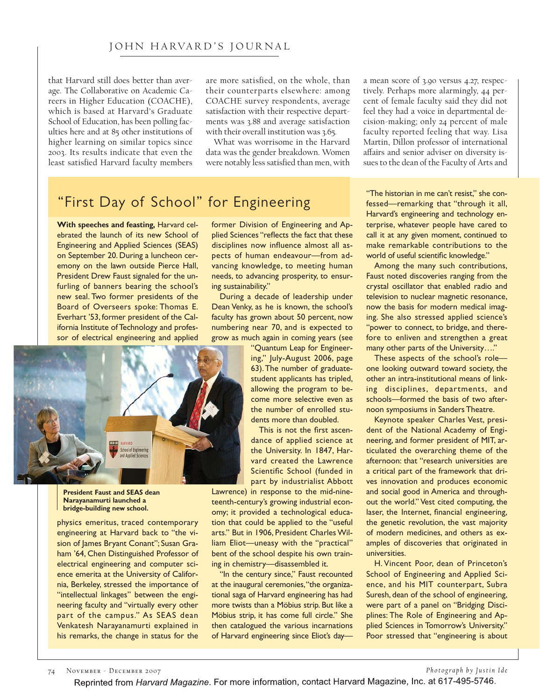that Harvard still does better than average. The Collaborative on Academic Careers in Higher Education (COACHE), which is based at Harvard's Graduate School of Education, has been polling faculties here and at 85 other institutions of higher learning on similar topics since 2003. Its results indicate that even the least satisfied Harvard faculty members are more satisfied, on the whole, than their counterparts elsewhere: among COACHE survey respondents, average satisfaction with their respective departments was 3.88 and average satisfaction with their overall institution was 3.65.

What was worrisome in the Harvard data was the gender breakdown. Women were notably less satisfied than men, with

"First Day of School" for Engineering

**With speeches and feasting, Harvard cel-**<br>ebrated the launch of its new School of Engineering and Applied Sciences (SEAS) on September 20. During a luncheon ceremony on the lawn outside Pierce Hall, President Drew Faust signaled for the unfurling of banners bearing the school's new seal. Two former presidents of the Board of Overseers spoke: Thomas E. Everhart '53, former president of the California Institute of Technology and profes**if** items in the thermology and profes-



**President Faust and SEAS dean Narayanamurti launched a bridge-building new school.**

physics emeritus, traced contemporary<br>engineering at Harvard back to "the vision of James Bryant Conant"; Susan Graham '64, Chen Distinguished Professor of electrical engineering and computer science emerita at the University of California, Berkeley, stressed the importance of "intellectual linkages" between the engineering faculty and "virtually every other part of the campus." As SEAS dean Venkatesh Narayanamurti explained in Ventatesh Tanayanamur is explained in his remarks, the change in status for the

former Division of Engineering and Ap-<br>plied Sciences "reflects the fact that these disciplines now influence almost all aspects of human endeavour-from advancing knowledge, to meeting human needs, to advancing prosperity, to ensuring sustainability."

During a decade of leadership under Dean Venky, as he is known, the school's faculty has grown about 50 percent, now numbering near 70, and is expected to grow as much again in coming years (see

"Quantum Leap for Engineering," July-August 2006, page 63). The number of graduatestudent applicants has tripled, allowing the program to become more selective even as the number of enrolled students more than doubled.

This is not the first ascendance of applied science at the University. In 1847, Harvard created the Lawrence Scientific School (funded in part by industrialist Abbott

Lawrence) in response to the mid-nineteenth-century's growing industrial economy; it provided a technological education that could be applied to the "useful arts." But in 1906, President Charles William Eliot-uneasy with the "practical" bent of the school despite his own training in chemistry-disassembled it.

"In the century since," Faust recounted at the inaugural ceremonies, "the organizational saga of Harvard engineering has had more twists than a Möbius strip. But like a Möbius strip, it has come full circle." She then catalogued the various incarnations then catalogued the various incarnations<br>of Harvard engineering since Flict's day of Harvard engineering since Eliot's daya mean score of 3.90 versus 4.27, respectively. Perhaps more alarmingly, 44 percent of female faculty said they did not feel they had a voice in departmental decision-making; only 24 percent of male faculty reported feeling that way. Lisa Martin, Dillon professor of international affairs and senior adviser on diversity issues to the dean of the Faculty of Arts and

"The historian in me can't resist," she con-<br>fessed—remarking that "through it all, Harvard's engineering and technology enterprise, whatever people have cared to call it at any given moment, continued to make remarkable contributions to the world of useful scientific knowledge."

Among the many such contributions, Faust noted discoveries ranging from the crystal oscillator that enabled radio and television to nuclear magnetic resonance, now the basis for modern medical imaging. She also stressed applied science's "power to connect, to bridge, and therefore to enliven and strengthen a great many other parts of the University...."

These aspects of the school's roleone looking outward toward society, the other an intra-institutional means of linking disciplines, departments, and schools-formed the basis of two afternoon symposiums in Sanders Theatre.

Keynote speaker Charles Vest, president of the National Academy of Engineering, and former president of MIT, articulated the overarching theme of the afternoon: that "research universities are a critical part of the framework that drives innovation and produces economic and social good in America and throughout the world." Vest cited computing, the laser, the Internet, financial engineering, the genetic revolution, the vast majority of modern medicines, and others as examples of discoveries that originated in universities.

H. Vincent Poor, dean of Princeton's School of Engineering and Applied Science, and his MIT counterpart, Subra Suresh, dean of the school of engineering, were part of a panel on "Bridging Disciplines: The Role of Engineering and Applied Sciences in Tomorrow's University." plied Sciences in Tomorrow's Sciences," Poor stressed that "engineering is about